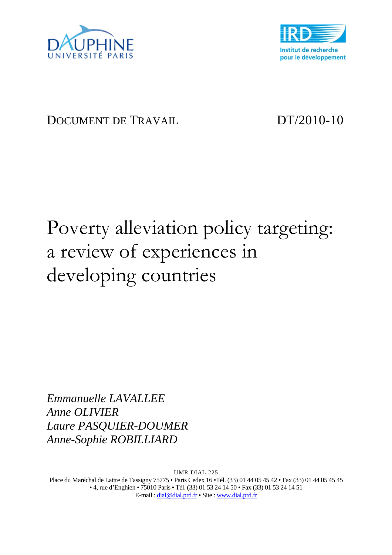



## DOCUMENT DE TRAVAIL DT/2010-10

# Poverty alleviation policy targeting: a review of experiences in developing countries

*Emmanuelle LAVALLEE Anne OLIVIER Laure PASQUIER-DOUMER Anne-Sophie ROBILLIARD* 

UMR DIAL 225 Place du Maréchal de Lattre de Tassigny 75775 • Paris Cedex 16 •Tél. (33) 01 44 05 45 42 • Fax (33) 01 44 05 45 45 • 4, rue d'Enghien • 75010 Paris • Tél. (33) 01 53 24 14 50 • Fax (33) 01 53 24 14 51 E-mail : dial@dial.prd.fr • Site : www.dial.prd.fr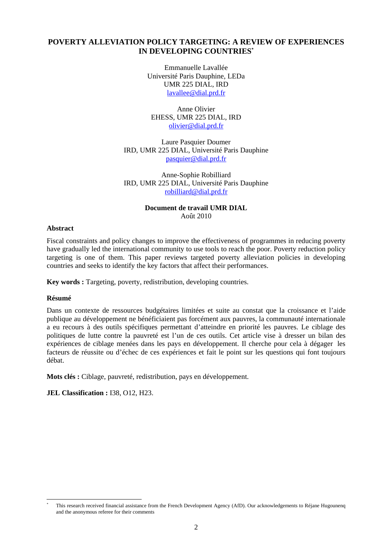#### **POVERTY ALLEVIATION POLICY TARGETING: A REVIEW OF EXPERIENCES IN DEVELOPING COUNTRIES\***

Emmanuelle Lavallée Université Paris Dauphine, LEDa UMR 225 DIAL, IRD lavallee@dial.prd.fr

Anne Olivier EHESS, UMR 225 DIAL, IRD olivier@dial.prd.fr

Laure Pasquier Doumer IRD, UMR 225 DIAL, Université Paris Dauphine pasquier@dial.prd.fr

Anne-Sophie Robilliard IRD, UMR 225 DIAL, Université Paris Dauphine robilliard@dial.prd.fr

#### **Document de travail UMR DIAL** Août 2010

#### **Abstract**

Fiscal constraints and policy changes to improve the effectiveness of programmes in reducing poverty have gradually led the international community to use tools to reach the poor. Poverty reduction policy targeting is one of them. This paper reviews targeted poverty alleviation policies in developing countries and seeks to identify the key factors that affect their performances.

**Key words :** Targeting, poverty, redistribution, developing countries.

#### **Résumé**

l

Dans un contexte de ressources budgétaires limitées et suite au constat que la croissance et l'aide publique au développement ne bénéficiaient pas forcément aux pauvres, la communauté internationale a eu recours à des outils spécifiques permettant d'atteindre en priorité les pauvres. Le ciblage des politiques de lutte contre la pauvreté est l'un de ces outils. Cet article vise à dresser un bilan des expériences de ciblage menées dans les pays en développement. Il cherche pour cela à dégager les facteurs de réussite ou d'échec de ces expériences et fait le point sur les questions qui font toujours débat.

**Mots clés :** Ciblage, pauvreté, redistribution, pays en développement.

**JEL Classification :** I38, O12, H23.

<sup>\*</sup> This research received financial assistance from the French Development Agency (AfD). Our acknowledgements to Réjane Hugounenq and the anonymous referee for their comments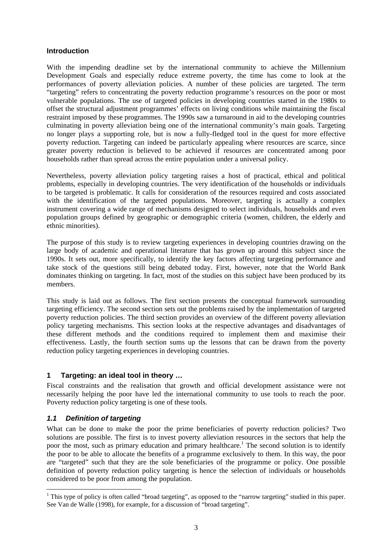#### **Introduction**

With the impending deadline set by the international community to achieve the Millennium Development Goals and especially reduce extreme poverty, the time has come to look at the performances of poverty alleviation policies. A number of these policies are targeted. The term "targeting" refers to concentrating the poverty reduction programme's resources on the poor or most vulnerable populations. The use of targeted policies in developing countries started in the 1980s to offset the structural adjustment programmes' effects on living conditions while maintaining the fiscal restraint imposed by these programmes. The 1990s saw a turnaround in aid to the developing countries culminating in poverty alleviation being one of the international community's main goals. Targeting no longer plays a supporting role, but is now a fully-fledged tool in the quest for more effective poverty reduction. Targeting can indeed be particularly appealing where resources are scarce, since greater poverty reduction is believed to be achieved if resources are concentrated among poor households rather than spread across the entire population under a universal policy.

Nevertheless, poverty alleviation policy targeting raises a host of practical, ethical and political problems, especially in developing countries. The very identification of the households or individuals to be targeted is problematic. It calls for consideration of the resources required and costs associated with the identification of the targeted populations. Moreover, targeting is actually a complex instrument covering a wide range of mechanisms designed to select individuals, households and even population groups defined by geographic or demographic criteria (women, children, the elderly and ethnic minorities).

The purpose of this study is to review targeting experiences in developing countries drawing on the large body of academic and operational literature that has grown up around this subject since the 1990s. It sets out, more specifically, to identify the key factors affecting targeting performance and take stock of the questions still being debated today. First, however, note that the World Bank dominates thinking on targeting. In fact, most of the studies on this subject have been produced by its members.

This study is laid out as follows. The first section presents the conceptual framework surrounding targeting efficiency. The second section sets out the problems raised by the implementation of targeted poverty reduction policies. The third section provides an overview of the different poverty alleviation policy targeting mechanisms. This section looks at the respective advantages and disadvantages of these different methods and the conditions required to implement them and maximise their effectiveness. Lastly, the fourth section sums up the lessons that can be drawn from the poverty reduction policy targeting experiences in developing countries.

#### **1 Targeting: an ideal tool in theory …**

Fiscal constraints and the realisation that growth and official development assistance were not necessarily helping the poor have led the international community to use tools to reach the poor. Poverty reduction policy targeting is one of these tools.

#### *1.1 Definition of targeting*

 $\overline{a}$ 

What can be done to make the poor the prime beneficiaries of poverty reduction policies? Two solutions are possible. The first is to invest poverty alleviation resources in the sectors that help the poor the most, such as primary education and primary healthcare.<sup>1</sup> The second solution is to identify the poor to be able to allocate the benefits of a programme exclusively to them. In this way, the poor are "targeted" such that they are the sole beneficiaries of the programme or policy. One possible definition of poverty reduction policy targeting is hence the selection of individuals or households considered to be poor from among the population.

<sup>&</sup>lt;sup>1</sup> This type of policy is often called "broad targeting", as opposed to the "narrow targeting" studied in this paper. See Van de Walle (1998), for example, for a discussion of "broad targeting".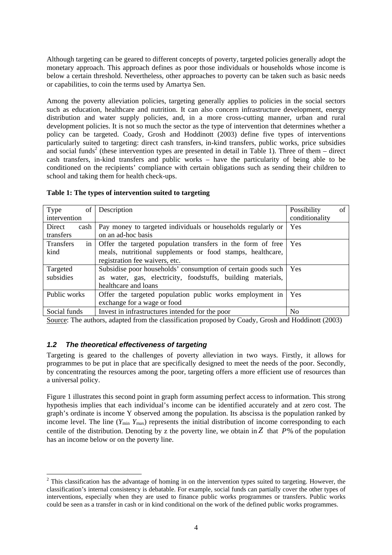Although targeting can be geared to different concepts of poverty, targeted policies generally adopt the monetary approach. This approach defines as poor those individuals or households whose income is below a certain threshold. Nevertheless, other approaches to poverty can be taken such as basic needs or capabilities, to coin the terms used by Amartya Sen.

Among the poverty alleviation policies, targeting generally applies to policies in the social sectors such as education, healthcare and nutrition. It can also concern infrastructure development, energy distribution and water supply policies, and, in a more cross-cutting manner, urban and rural development policies. It is not so much the sector as the type of intervention that determines whether a policy can be targeted. Coady, Grosh and Hoddinott (2003) define five types of interventions particularly suited to targeting: direct cash transfers, in-kind transfers, public works, price subsidies and social funds<sup>2</sup> (these intervention types are presented in detail in Table 1). Three of them – direct cash transfers, in-kind transfers and public works – have the particularity of being able to be conditioned on the recipients' compliance with certain obligations such as sending their children to school and taking them for health check-ups.

| Type<br>of       | Description                                                    | Possibility    | of |
|------------------|----------------------------------------------------------------|----------------|----|
| intervention     |                                                                | conditionality |    |
| Direct<br>cash   | Pay money to targeted individuals or households regularly or   | Yes            |    |
| transfers        | on an ad-hoc basis                                             |                |    |
| <b>Transfers</b> | in Offer the targeted population transfers in the form of free | Yes            |    |
| kind             | meals, nutritional supplements or food stamps, healthcare,     |                |    |
|                  | registration fee waivers, etc.                                 |                |    |
| Targeted         | Subsidise poor households' consumption of certain goods such   | Yes            |    |
| subsidies        | as water, gas, electricity, foodstuffs, building materials,    |                |    |
|                  | healthcare and loans                                           |                |    |
| Public works     | Offer the targeted population public works employment in       | Yes            |    |
|                  | exchange for a wage or food                                    |                |    |
| Social funds     | Invest in infrastructures intended for the poor                | N <sub>0</sub> |    |

#### **Table 1: The types of intervention suited to targeting**

Source: The authors, adapted from the classification proposed by Coady, Grosh and Hoddinott (2003)

#### *1.2 The theoretical effectiveness of targeting*

 $\overline{a}$ 

Targeting is geared to the challenges of poverty alleviation in two ways. Firstly, it allows for programmes to be put in place that are specifically designed to meet the needs of the poor. Secondly, by concentrating the resources among the poor, targeting offers a more efficient use of resources than a universal policy.

Figure 1 illustrates this second point in graph form assuming perfect access to information. This strong hypothesis implies that each individual's income can be identified accurately and at zero cost. The graph's ordinate is income Y observed among the population. Its abscissa is the population ranked by income level. The line  $(Y_{min} Y_{max})$  represents the initial distribution of income corresponding to each centile of the distribution. Denoting by z the poverty line, we obtain in  $Z$  that  $P\%$  of the population has an income below or on the poverty line.

 $2$  This classification has the advantage of homing in on the intervention types suited to targeting. However, the classification's internal consistency is debatable. For example, social funds can partially cover the other types of interventions, especially when they are used to finance public works programmes or transfers. Public works could be seen as a transfer in cash or in kind conditional on the work of the defined public works programmes.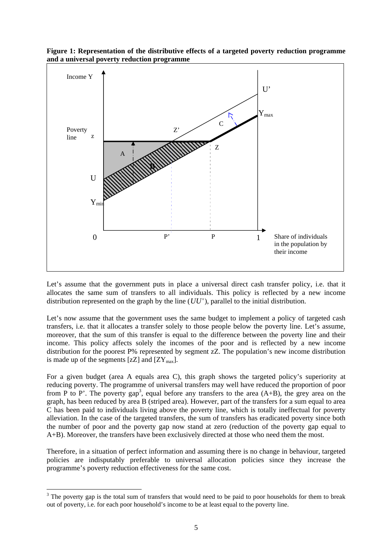

**Figure 1: Representation of the distributive effects of a targeted poverty reduction programme and a universal poverty reduction programme** 

Let's assume that the government puts in place a universal direct cash transfer policy, i.e. that it allocates the same sum of transfers to all individuals. This policy is reflected by a new income distribution represented on the graph by the line (*UU*'), parallel to the initial distribution.

Let's now assume that the government uses the same budget to implement a policy of targeted cash transfers, i.e. that it allocates a transfer solely to those people below the poverty line. Let's assume, moreover, that the sum of this transfer is equal to the difference between the poverty line and their income. This policy affects solely the incomes of the poor and is reflected by a new income distribution for the poorest P% represented by segment zZ. The population's new income distribution is made up of the segments  $[zZ]$  and  $[ZY_{\text{max}}]$ .

For a given budget (area A equals area C), this graph shows the targeted policy's superiority at reducing poverty. The programme of universal transfers may well have reduced the proportion of poor from P to P'. The poverty gap<sup>3</sup>, equal before any transfers to the area  $(A+B)$ , the grey area on the graph, has been reduced by area B (striped area). However, part of the transfers for a sum equal to area C has been paid to individuals living above the poverty line, which is totally ineffectual for poverty alleviation. In the case of the targeted transfers, the sum of transfers has eradicated poverty since both the number of poor and the poverty gap now stand at zero (reduction of the poverty gap equal to A+B). Moreover, the transfers have been exclusively directed at those who need them the most.

Therefore, in a situation of perfect information and assuming there is no change in behaviour, targeted policies are indisputably preferable to universal allocation policies since they increase the programme's poverty reduction effectiveness for the same cost.

 $3$  The poverty gap is the total sum of transfers that would need to be paid to poor households for them to break out of poverty, i.e. for each poor household's income to be at least equal to the poverty line.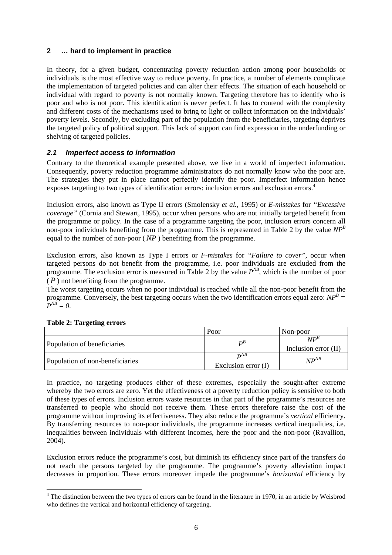#### **2 … hard to implement in practice**

In theory, for a given budget, concentrating poverty reduction action among poor households or individuals is the most effective way to reduce poverty. In practice, a number of elements complicate the implementation of targeted policies and can alter their effects. The situation of each household or individual with regard to poverty is not normally known. Targeting therefore has to identify who is poor and who is not poor. This identification is never perfect. It has to contend with the complexity and different costs of the mechanisms used to bring to light or collect information on the individuals' poverty levels. Secondly, by excluding part of the population from the beneficiaries, targeting deprives the targeted policy of political support. This lack of support can find expression in the underfunding or shelving of targeted policies.

#### *2.1 Imperfect access to information*

Contrary to the theoretical example presented above, we live in a world of imperfect information. Consequently, poverty reduction programme administrators do not normally know who the poor are. The strategies they put in place cannot perfectly identify the poor. Imperfect information hence exposes targeting to two types of identification errors: inclusion errors and exclusion errors.<sup>4</sup>

Inclusion errors, also known as Type II errors (Smolensky *et al.*, 1995) or *E-mistakes* for *"Excessive coverage"* (Cornia and Stewart, 1995), occur when persons who are not initially targeted benefit from the programme or policy. In the case of a programme targeting the poor, inclusion errors concern all non-poor individuals benefiting from the programme. This is represented in Table 2 by the value *NP<sup>B</sup>* equal to the number of non-poor ( *NP* ) benefiting from the programme.

Exclusion errors, also known as Type I errors or *F-mistakes* for *"Failure to cover"*, occur when targeted persons do not benefit from the programme, i.e. poor individuals are excluded from the programme. The exclusion error is measured in Table 2 by the value  $P^{NB}$ , which is the number of poor  $(P)$  not benefiting from the programme.

The worst targeting occurs when no poor individual is reached while all the non-poor benefit from the programme. Conversely, the best targeting occurs when the two identification errors equal zero:  $NP^B$  =  $\overrightarrow{P}^{NB} = 0$ .

|                                 | Poor                                       | Non-poor                         |
|---------------------------------|--------------------------------------------|----------------------------------|
| Population of beneficiaries     | $\bm{D}^L$                                 | $NP^B$<br>Inclusion error $(II)$ |
| Population of non-beneficiaries | $D$ <sup>NB</sup><br>Exclusion error $(I)$ | $NP^{NB}$                        |

#### **Table 2: Targeting errors**

 $\overline{a}$ 

In practice, no targeting produces either of these extremes, especially the sought-after extreme whereby the two errors are zero. Yet the effectiveness of a poverty reduction policy is sensitive to both of these types of errors. Inclusion errors waste resources in that part of the programme's resources are transferred to people who should not receive them. These errors therefore raise the cost of the programme without improving its effectiveness. They also reduce the programme's *vertical* efficiency. By transferring resources to non-poor individuals, the programme increases vertical inequalities, i.e. inequalities between individuals with different incomes, here the poor and the non-poor (Ravallion, 2004).

Exclusion errors reduce the programme's cost, but diminish its efficiency since part of the transfers do not reach the persons targeted by the programme. The programme's poverty alleviation impact decreases in proportion. These errors moreover impede the programme's *horizontal* efficiency by

<sup>&</sup>lt;sup>4</sup> The distinction between the two types of errors can be found in the literature in 1970, in an article by Weisbrod who defines the vertical and horizontal efficiency of targeting.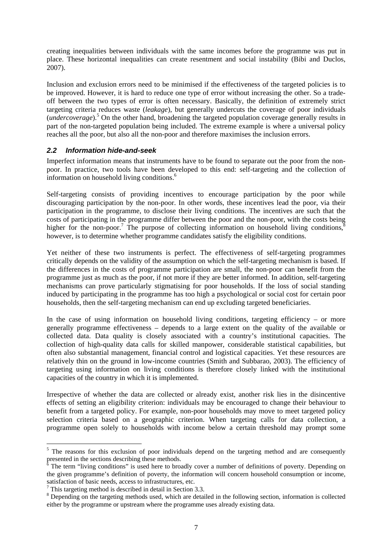creating inequalities between individuals with the same incomes before the programme was put in place. These horizontal inequalities can create resentment and social instability (Bibi and Duclos, 2007).

Inclusion and exclusion errors need to be minimised if the effectiveness of the targeted policies is to be improved. However, it is hard to reduce one type of error without increasing the other. So a tradeoff between the two types of error is often necessary. Basically, the definition of extremely strict targeting criteria reduces waste (*leakage*), but generally undercuts the coverage of poor individuals (*undercoverage*).<sup>5</sup> On the other hand, broadening the targeted population coverage generally results in part of the non-targeted population being included. The extreme example is where a universal policy reaches all the poor, but also all the non-poor and therefore maximises the inclusion errors.

#### *2.2 Information hide-and-seek*

Imperfect information means that instruments have to be found to separate out the poor from the nonpoor. In practice, two tools have been developed to this end: self-targeting and the collection of information on household living conditions.<sup>6</sup>

Self-targeting consists of providing incentives to encourage participation by the poor while discouraging participation by the non-poor. In other words, these incentives lead the poor, via their participation in the programme, to disclose their living conditions. The incentives are such that the costs of participating in the programme differ between the poor and the non-poor, with the costs being higher for the non-poor.<sup>7</sup> The purpose of collecting information on household living conditions,  $\overline{\ }$ however, is to determine whether programme candidates satisfy the eligibility conditions.

Yet neither of these two instruments is perfect. The effectiveness of self-targeting programmes critically depends on the validity of the assumption on which the self-targeting mechanism is based. If the differences in the costs of programme participation are small, the non-poor can benefit from the programme just as much as the poor, if not more if they are better informed. In addition, self-targeting mechanisms can prove particularly stigmatising for poor households. If the loss of social standing induced by participating in the programme has too high a psychological or social cost for certain poor households, then the self-targeting mechanism can end up excluding targeted beneficiaries.

In the case of using information on household living conditions, targeting efficiency – or more generally programme effectiveness – depends to a large extent on the quality of the available or collected data. Data quality is closely associated with a country's institutional capacities. The collection of high-quality data calls for skilled manpower, considerable statistical capabilities, but often also substantial management, financial control and logistical capacities. Yet these resources are relatively thin on the ground in low-income countries (Smith and Subbarao, 2003). The efficiency of targeting using information on living conditions is therefore closely linked with the institutional capacities of the country in which it is implemented.

Irrespective of whether the data are collected or already exist, another risk lies in the disincentive effects of setting an eligibility criterion: individuals may be encouraged to change their behaviour to benefit from a targeted policy. For example, non-poor households may move to meet targeted policy selection criteria based on a geographic criterion. When targeting calls for data collection, a programme open solely to households with income below a certain threshold may prompt some

<sup>&</sup>lt;sup>5</sup> The reasons for this exclusion of poor individuals depend on the targeting method and are consequently presented in the sections describing these methods.

<sup>6</sup> The term "living conditions" is used here to broadly cover a number of definitions of poverty. Depending on the given programme's definition of poverty, the information will concern household consumption or income, satisfaction of basic needs, access to infrastructures, etc.

 $7$  This targeting method is described in detail in Section 3.3.

<sup>&</sup>lt;sup>8</sup> Depending on the targeting methods used, which are detailed in the following section, information is collected either by the programme or upstream where the programme uses already existing data.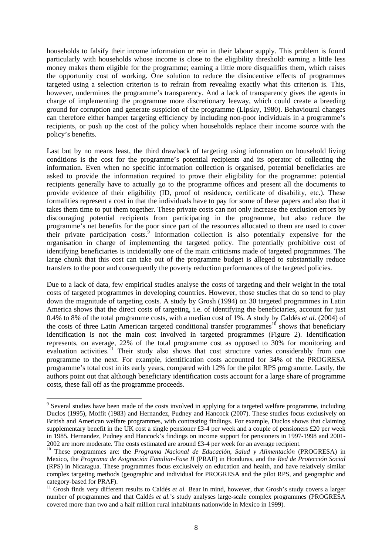households to falsify their income information or rein in their labour supply. This problem is found particularly with households whose income is close to the eligibility threshold: earning a little less money makes them eligible for the programme; earning a little more disqualifies them, which raises the opportunity cost of working. One solution to reduce the disincentive effects of programmes targeted using a selection criterion is to refrain from revealing exactly what this criterion is. This, however, undermines the programme's transparency. And a lack of transparency gives the agents in charge of implementing the programme more discretionary leeway, which could create a breeding ground for corruption and generate suspicion of the programme (Lipsky, 1980). Behavioural changes can therefore either hamper targeting efficiency by including non-poor individuals in a programme's recipients, or push up the cost of the policy when households replace their income source with the policy's benefits.

Last but by no means least, the third drawback of targeting using information on household living conditions is the cost for the programme's potential recipients and its operator of collecting the information. Even when no specific information collection is organised, potential beneficiaries are asked to provide the information required to prove their eligibility for the programme: potential recipients generally have to actually go to the programme offices and present all the documents to provide evidence of their eligibility (ID, proof of residence, certificate of disability, etc.). These formalities represent a cost in that the individuals have to pay for some of these papers and also that it takes them time to put them together. These private costs can not only increase the exclusion errors by discouraging potential recipients from participating in the programme, but also reduce the programme's net benefits for the poor since part of the resources allocated to them are used to cover their private participation costs. Information collection is also potentially expensive for the organisation in charge of implementing the targeted policy. The potentially prohibitive cost of identifying beneficiaries is incidentally one of the main criticisms made of targeted programmes. The large chunk that this cost can take out of the programme budget is alleged to substantially reduce transfers to the poor and consequently the poverty reduction performances of the targeted policies.

Due to a lack of data, few empirical studies analyse the costs of targeting and their weight in the total costs of targeted programmes in developing countries. However, those studies that do so tend to play down the magnitude of targeting costs. A study by Grosh (1994) on 30 targeted programmes in Latin America shows that the direct costs of targeting, i.e. of identifying the beneficiaries, account for just 0.4% to 8% of the total programme costs, with a median cost of 1%. A study by Caldés *et al.* (2004) of the costs of three Latin American targeted conditional transfer programmes<sup>10</sup> shows that beneficiary identification is not the main cost involved in targeted programmes (Figure 2). Identification represents, on average, 22% of the total programme cost as opposed to 30% for monitoring and evaluation activities.<sup><sup>11</sup> Their study also shows that cost structure varies considerably from one</sup> programme to the next. For example, identification costs accounted for 34% of the PROGRESA programme's total cost in its early years, compared with 12% for the pilot RPS programme. Lastly, the authors point out that although beneficiary identification costs account for a large share of programme costs, these fall off as the programme proceeds.

<sup>&</sup>lt;sup>9</sup> Several studies have been made of the costs involved in applying for a targeted welfare programme, including Duclos (1995), Moffit (1983) and Hernandez, Pudney and Hancock (2007). These studies focus exclusively on British and American welfare programmes, with contrasting findings. For example, Duclos shows that claiming supplementary benefit in the UK cost a single pensioner £3-4 per week and a couple of pensioners £20 per week in 1985. Hernandez, Pudney and Hancock's findings on income support for pensioners in 1997-1998 and 2001- 2002 are more moderate. The costs estimated are around £3-4 per week for an average recipient.<br><sup>10</sup> These programmes are: the *Programa Nacional de Educación, Salud y Alimentación* (PROGRESA) in

Mexico, the *Programa de Asignación Familiar-Fase II* (PRAF) in Honduras, and the *Red de Protección Social* (RPS) in Nicaragua. These programmes focus exclusively on education and health, and have relatively similar complex targeting methods (geographic and individual for PROGRESA and the pilot RPS, and geographic and category-based for PRAF).

<sup>&</sup>lt;sup>11</sup> Grosh finds very different results to Caldés *et al.* Bear in mind, however, that Grosh's study covers a larger number of programmes and that Caldés *et al.*'s study analyses large-scale complex programmes (PROGRESA covered more than two and a half million rural inhabitants nationwide in Mexico in 1999).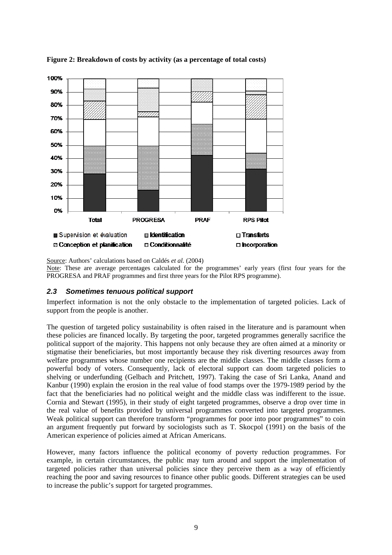

Figure 2: Breakdown of costs by activity (as a percentage of total costs)

Source: Authors' calculations based on Caldés *et al.* (2004)

Note: These are average percentages calculated for the programmes' early years (first four years for the PROGRESA and PRAF programmes and first three years for the Pilot RPS programme).

#### *2.3 S ometimes tenuous political support*

Imperfect information is not the only obstacle to the implementation of targeted policies. Lack of support from the people is another.

The question of targeted policy sustainability is often raised in the literature and is paramount when these policies are financed locally. By targeting the poor, targeted programmes generally sacrifice the political support of the majority. This happens not only because they are often aimed at a minority or stigmatise their beneficiaries, but most importantly because they risk diverting resources away from welfare programmes whose number one recipients are the middle classes. The middle classes form a powerful body of voters. Consequently, lack of electoral support can doom targeted policies to shelving or underfunding (Gelbach and Pritchett, 1997). Taking the case of Sri Lanka, Anand and Kanbur (1990) explain the erosion in the real value of food stamps over the 1979-1989 period by the fact that the beneficiaries had no political weight and the middle class was indifferent to the issue. Cornia and Stewart (1995), in their study of eight targeted programmes, observe a drop over time in the real value of benefits provided by universal programmes converted into targeted programmes. Weak political support can therefore transform "programmes for poor into poor programmes" to coin an argument frequently put forward by sociologists such as T. Skocpol (1991) on the basis of the American experience of policies aimed at African Americans.

However, many factors influence the political economy of poverty reduction programmes. For example, in certain circumstances, the public may turn around and support the implementation of targeted policies rather than universal policies since they perceive them as a way of efficiently reaching the poor and saving resources to finance other public goods. Different strategies can be used to increase the public's support for targeted programmes.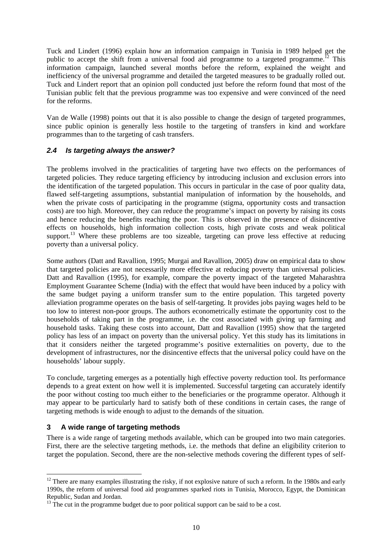Tuck and Lindert (1996) explain how an information campaign in Tunisia in 1989 helped get the public to accept the shift from a universal food aid programme to a targeted programme.<sup>12</sup> This information campaign, launched several months before the reform, explained the weight and inefficiency of the universal programme and detailed the targeted measures to be gradually rolled out. Tuck and Lindert report that an opinion poll conducted just before the reform found that most of the Tunisian public felt that the previous programme was too expensive and were convinced of the need for the reforms.

Van de Walle (1998) points out that it is also possible to change the design of targeted programmes, since public opinion is generally less hostile to the targeting of transfers in kind and workfare programmes than to the targeting of cash transfers.

#### *2.4 Is targeting always the answer?*

The problems involved in the practicalities of targeting have two effects on the performances of targeted policies. They reduce targeting efficiency by introducing inclusion and exclusion errors into the identification of the targeted population. This occurs in particular in the case of poor quality data, flawed self-targeting assumptions, substantial manipulation of information by the households, and when the private costs of participating in the programme (stigma, opportunity costs and transaction costs) are too high. Moreover, they can reduce the programme's impact on poverty by raising its costs and hence reducing the benefits reaching the poor. This is observed in the presence of disincentive effects on households, high information collection costs, high private costs and weak political support.<sup>13</sup> Where these problems are too sizeable, targeting can prove less effective at reducing poverty than a universal policy.

Some authors (Datt and Ravallion, 1995; Murgai and Ravallion, 2005) draw on empirical data to show that targeted policies are not necessarily more effective at reducing poverty than universal policies. Datt and Ravallion (1995), for example, compare the poverty impact of the targeted Maharashtra Employment Guarantee Scheme (India) with the effect that would have been induced by a policy with the same budget paying a uniform transfer sum to the entire population. This targeted poverty alleviation programme operates on the basis of self-targeting. It provides jobs paying wages held to be too low to interest non-poor groups. The authors econometrically estimate the opportunity cost to the households of taking part in the programme, i.e. the cost associated with giving up farming and household tasks. Taking these costs into account, Datt and Ravallion (1995) show that the targeted policy has less of an impact on poverty than the universal policy. Yet this study has its limitations in that it considers neither the targeted programme's positive externalities on poverty, due to the development of infrastructures, nor the disincentive effects that the universal policy could have on the households' labour supply.

To conclude, targeting emerges as a potentially high effective poverty reduction tool. Its performance depends to a great extent on how well it is implemented. Successful targeting can accurately identify the poor without costing too much either to the beneficiaries or the programme operator. Although it may appear to be particularly hard to satisfy both of these conditions in certain cases, the range of targeting methods is wide enough to adjust to the demands of the situation.

### **3 A wide range of targeting methods**

 $\overline{a}$ 

There is a wide range of targeting methods available, which can be grouped into two main categories. First, there are the selective targeting methods, i.e. the methods that define an eligibility criterion to target the population. Second, there are the non-selective methods covering the different types of self-

 $12$  There are many examples illustrating the risky, if not explosive nature of such a reform. In the 1980s and early 1990s, the reform of universal food aid programmes sparked riots in Tunisia, Morocco, Egypt, the Dominican Republic, Sudan and Jordan.

 $13$ <sup>13</sup>. The cut in the programme budget due to poor political support can be said to be a cost.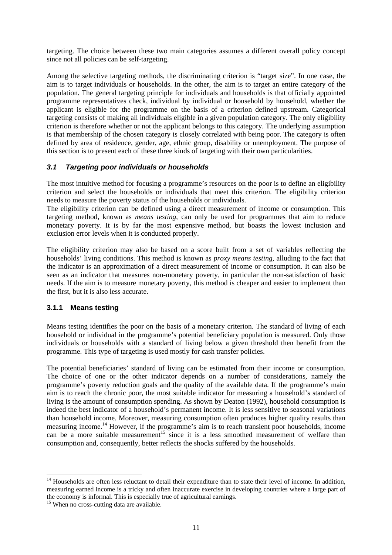targeting. The choice between these two main categories assumes a different overall policy concept since not all policies can be self-targeting.

Among the selective targeting methods, the discriminating criterion is "target size". In one case, the aim is to target individuals or households. In the other, the aim is to target an entire category of the population. The general targeting principle for individuals and households is that officially appointed programme representatives check, individual by individual or household by household, whether the applicant is eligible for the programme on the basis of a criterion defined upstream. Categorical targeting consists of making all individuals eligible in a given population category. The only eligibility criterion is therefore whether or not the applicant belongs to this category. The underlying assumption is that membership of the chosen category is closely correlated with being poor. The category is often defined by area of residence, gender, age, ethnic group, disability or unemployment. The purpose of this section is to present each of these three kinds of targeting with their own particularities.

#### *3.1 Targeting poor individuals or households*

The most intuitive method for focusing a programme's resources on the poor is to define an eligibility criterion and select the households or individuals that meet this criterion. The eligibility criterion needs to measure the poverty status of the households or individuals.

The eligibility criterion can be defined using a direct measurement of income or consumption. This targeting method, known as *means testing*, can only be used for programmes that aim to reduce monetary poverty. It is by far the most expensive method, but boasts the lowest inclusion and exclusion error levels when it is conducted properly.

The eligibility criterion may also be based on a score built from a set of variables reflecting the households' living conditions. This method is known as *proxy means testing*, alluding to the fact that the indicator is an approximation of a direct measurement of income or consumption. It can also be seen as an indicator that measures non-monetary poverty, in particular the non-satisfaction of basic needs. If the aim is to measure monetary poverty, this method is cheaper and easier to implement than the first, but it is also less accurate.

#### **3.1.1 Means testing**

Means testing identifies the poor on the basis of a monetary criterion. The standard of living of each household or individual in the programme's potential beneficiary population is measured. Only those individuals or households with a standard of living below a given threshold then benefit from the programme. This type of targeting is used mostly for cash transfer policies.

The potential beneficiaries' standard of living can be estimated from their income or consumption. The choice of one or the other indicator depends on a number of considerations, namely the programme's poverty reduction goals and the quality of the available data. If the programme's main aim is to reach the chronic poor, the most suitable indicator for measuring a household's standard of living is the amount of consumption spending. As shown by Deaton (1992), household consumption is indeed the best indicator of a household's permanent income. It is less sensitive to seasonal variations than household income. Moreover, measuring consumption often produces higher quality results than measuring income.14 However, if the programme's aim is to reach transient poor households, income can be a more suitable measurement<sup>15</sup> since it is a less smoothed measurement of welfare than consumption and, consequently, better reflects the shocks suffered by the households.

<sup>&</sup>lt;sup>14</sup> Households are often less reluctant to detail their expenditure than to state their level of income. In addition, measuring earned income is a tricky and often inaccurate exercise in developing countries where a large part of the economy is informal. This is especially true of agricultural earnings. 15 When no cross-cutting data are available.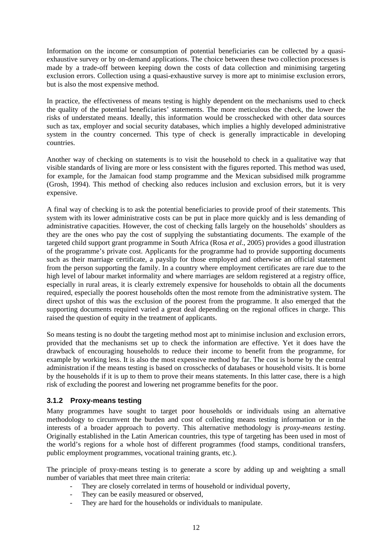Information on the income or consumption of potential beneficiaries can be collected by a quasiexhaustive survey or by on-demand applications. The choice between these two collection processes is made by a trade-off between keeping down the costs of data collection and minimising targeting exclusion errors. Collection using a quasi-exhaustive survey is more apt to minimise exclusion errors, but is also the most expensive method.

In practice, the effectiveness of means testing is highly dependent on the mechanisms used to check the quality of the potential beneficiaries' statements. The more meticulous the check, the lower the risks of understated means. Ideally, this information would be crosschecked with other data sources such as tax, employer and social security databases, which implies a highly developed administrative system in the country concerned. This type of check is generally impracticable in developing countries.

Another way of checking on statements is to visit the household to check in a qualitative way that visible standards of living are more or less consistent with the figures reported. This method was used, for example, for the Jamaican food stamp programme and the Mexican subsidised milk programme (Grosh, 1994). This method of checking also reduces inclusion and exclusion errors, but it is very expensive.

A final way of checking is to ask the potential beneficiaries to provide proof of their statements. This system with its lower administrative costs can be put in place more quickly and is less demanding of administrative capacities. However, the cost of checking falls largely on the households' shoulders as they are the ones who pay the cost of supplying the substantiating documents. The example of the targeted child support grant programme in South Africa (Rosa *et al.*, 2005) provides a good illustration of the programme's private cost. Applicants for the programme had to provide supporting documents such as their marriage certificate, a payslip for those employed and otherwise an official statement from the person supporting the family. In a country where employment certificates are rare due to the high level of labour market informality and where marriages are seldom registered at a registry office, especially in rural areas, it is clearly extremely expensive for households to obtain all the documents required, especially the poorest households often the most remote from the administrative system. The direct upshot of this was the exclusion of the poorest from the programme. It also emerged that the supporting documents required varied a great deal depending on the regional offices in charge. This raised the question of equity in the treatment of applicants.

So means testing is no doubt the targeting method most apt to minimise inclusion and exclusion errors, provided that the mechanisms set up to check the information are effective. Yet it does have the drawback of encouraging households to reduce their income to benefit from the programme, for example by working less. It is also the most expensive method by far. The cost is borne by the central administration if the means testing is based on crosschecks of databases or household visits. It is borne by the households if it is up to them to prove their means statements. In this latter case, there is a high risk of excluding the poorest and lowering net programme benefits for the poor.

#### **3.1.2 Proxy-means testing**

Many programmes have sought to target poor households or individuals using an alternative methodology to circumvent the burden and cost of collecting means testing information or in the interests of a broader approach to poverty. This alternative methodology is *proxy-means testing*. Originally established in the Latin American countries, this type of targeting has been used in most of the world's regions for a whole host of different programmes (food stamps, conditional transfers, public employment programmes, vocational training grants, etc.).

The principle of proxy-means testing is to generate a score by adding up and weighting a small number of variables that meet three main criteria:

- They are closely correlated in terms of household or individual poverty,
- They can be easily measured or observed.
- They are hard for the households or individuals to manipulate.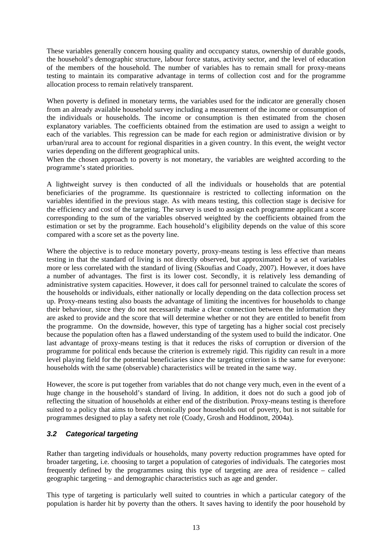These variables generally concern housing quality and occupancy status, ownership of durable goods, the household's demographic structure, labour force status, activity sector, and the level of education of the members of the household. The number of variables has to remain small for proxy-means testing to maintain its comparative advantage in terms of collection cost and for the programme allocation process to remain relatively transparent.

When poverty is defined in monetary terms, the variables used for the indicator are generally chosen from an already available household survey including a measurement of the income or consumption of the individuals or households. The income or consumption is then estimated from the chosen explanatory variables. The coefficients obtained from the estimation are used to assign a weight to each of the variables. This regression can be made for each region or administrative division or by urban/rural area to account for regional disparities in a given country. In this event, the weight vector varies depending on the different geographical units.

When the chosen approach to poverty is not monetary, the variables are weighted according to the programme's stated priorities.

A lightweight survey is then conducted of all the individuals or households that are potential beneficiaries of the programme. Its questionnaire is restricted to collecting information on the variables identified in the previous stage. As with means testing, this collection stage is decisive for the efficiency and cost of the targeting. The survey is used to assign each programme applicant a score corresponding to the sum of the variables observed weighted by the coefficients obtained from the estimation or set by the programme. Each household's eligibility depends on the value of this score compared with a score set as the poverty line.

Where the objective is to reduce monetary poverty, proxy-means testing is less effective than means testing in that the standard of living is not directly observed, but approximated by a set of variables more or less correlated with the standard of living (Skoufias and Coady, 2007). However, it does have a number of advantages. The first is its lower cost. Secondly, it is relatively less demanding of administrative system capacities. However, it does call for personnel trained to calculate the scores of the households or individuals, either nationally or locally depending on the data collection process set up. Proxy-means testing also boasts the advantage of limiting the incentives for households to change their behaviour, since they do not necessarily make a clear connection between the information they are asked to provide and the score that will determine whether or not they are entitled to benefit from the programme. On the downside, however, this type of targeting has a higher social cost precisely because the population often has a flawed understanding of the system used to build the indicator. One last advantage of proxy-means testing is that it reduces the risks of corruption or diversion of the programme for political ends because the criterion is extremely rigid. This rigidity can result in a more level playing field for the potential beneficiaries since the targeting criterion is the same for everyone: households with the same (observable) characteristics will be treated in the same way.

However, the score is put together from variables that do not change very much, even in the event of a huge change in the household's standard of living. In addition, it does not do such a good job of reflecting the situation of households at either end of the distribution. Proxy-means testing is therefore suited to a policy that aims to break chronically poor households out of poverty, but is not suitable for programmes designed to play a safety net role (Coady, Grosh and Hoddinott, 2004a).

### *3.2 Categorical targeting*

Rather than targeting individuals or households, many poverty reduction programmes have opted for broader targeting, i.e. choosing to target a population of categories of individuals. The categories most frequently defined by the programmes using this type of targeting are area of residence – called geographic targeting – and demographic characteristics such as age and gender.

This type of targeting is particularly well suited to countries in which a particular category of the population is harder hit by poverty than the others. It saves having to identify the poor household by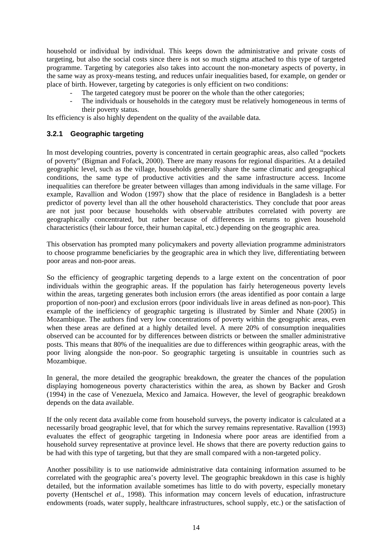household or individual by individual. This keeps down the administrative and private costs of targeting, but also the social costs since there is not so much stigma attached to this type of targeted programme. Targeting by categories also takes into account the non-monetary aspects of poverty, in the same way as proxy-means testing, and reduces unfair inequalities based, for example, on gender or place of birth. However, targeting by categories is only efficient on two conditions:

- The targeted category must be poorer on the whole than the other categories;
- The individuals or households in the category must be relatively homogeneous in terms of their poverty status.

Its efficiency is also highly dependent on the quality of the available data.

#### **3.2.1 Geographic targeting**

In most developing countries, poverty is concentrated in certain geographic areas, also called "pockets of poverty" (Bigman and Fofack, 2000). There are many reasons for regional disparities. At a detailed geographic level, such as the village, households generally share the same climatic and geographical conditions, the same type of productive activities and the same infrastructure access. Income inequalities can therefore be greater between villages than among individuals in the same village. For example, Ravallion and Wodon (1997) show that the place of residence in Bangladesh is a better predictor of poverty level than all the other household characteristics. They conclude that poor areas are not just poor because households with observable attributes correlated with poverty are geographically concentrated, but rather because of differences in returns to given household characteristics (their labour force, their human capital, etc.) depending on the geographic area.

This observation has prompted many policymakers and poverty alleviation programme administrators to choose programme beneficiaries by the geographic area in which they live, differentiating between poor areas and non-poor areas.

So the efficiency of geographic targeting depends to a large extent on the concentration of poor individuals within the geographic areas. If the population has fairly heterogeneous poverty levels within the areas, targeting generates both inclusion errors (the areas identified as poor contain a large proportion of non-poor) and exclusion errors (poor individuals live in areas defined as non-poor). This example of the inefficiency of geographic targeting is illustrated by Simler and Nhate (2005) in Mozambique. The authors find very low concentrations of poverty within the geographic areas, even when these areas are defined at a highly detailed level. A mere 20% of consumption inequalities observed can be accounted for by differences between districts or between the smaller administrative posts. This means that 80% of the inequalities are due to differences within geographic areas, with the poor living alongside the non-poor. So geographic targeting is unsuitable in countries such as Mozambique.

In general, the more detailed the geographic breakdown, the greater the chances of the population displaying homogeneous poverty characteristics within the area, as shown by Backer and Grosh (1994) in the case of Venezuela, Mexico and Jamaica. However, the level of geographic breakdown depends on the data available.

If the only recent data available come from household surveys, the poverty indicator is calculated at a necessarily broad geographic level, that for which the survey remains representative. Ravallion (1993) evaluates the effect of geographic targeting in Indonesia where poor areas are identified from a household survey representative at province level. He shows that there are poverty reduction gains to be had with this type of targeting, but that they are small compared with a non-targeted policy.

Another possibility is to use nationwide administrative data containing information assumed to be correlated with the geographic area's poverty level. The geographic breakdown in this case is highly detailed, but the information available sometimes has little to do with poverty, especially monetary poverty (Hentschel *et al.*, 1998). This information may concern levels of education, infrastructure endowments (roads, water supply, healthcare infrastructures, school supply, etc.) or the satisfaction of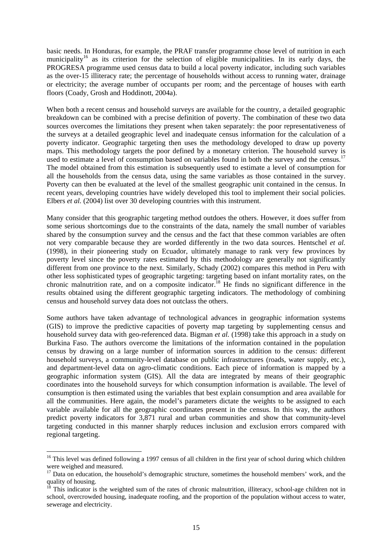basic needs. In Honduras, for example, the PRAF transfer programme chose level of nutrition in each municipality<sup>16</sup> as its criterion for the selection of eligible municipalities. In its early days, the PROGRESA programme used census data to build a local poverty indicator, including such variables as the over-15 illiteracy rate; the percentage of households without access to running water, drainage or electricity; the average number of occupants per room; and the percentage of houses with earth floors (Coady, Grosh and Hoddinott, 2004a).

When both a recent census and household surveys are available for the country, a detailed geographic breakdown can be combined with a precise definition of poverty. The combination of these two data sources overcomes the limitations they present when taken separately: the poor representativeness of the surveys at a detailed geographic level and inadequate census information for the calculation of a poverty indicator. Geographic targeting then uses the methodology developed to draw up poverty maps. This methodology targets the poor defined by a monetary criterion. The household survey is used to estimate a level of consumption based on variables found in both the survey and the census.<sup>17</sup> The model obtained from this estimation is subsequently used to estimate a level of consumption for all the households from the census data, using the same variables as those contained in the survey. Poverty can then be evaluated at the level of the smallest geographic unit contained in the census. In recent years, developing countries have widely developed this tool to implement their social policies. Elbers *et al.* (2004) list over 30 developing countries with this instrument.

Many consider that this geographic targeting method outdoes the others. However, it does suffer from some serious shortcomings due to the constraints of the data, namely the small number of variables shared by the consumption survey and the census and the fact that these common variables are often not very comparable because they are worded differently in the two data sources. Hentschel *et al.* (1998), in their pioneering study on Ecuador, ultimately manage to rank very few provinces by poverty level since the poverty rates estimated by this methodology are generally not significantly different from one province to the next. Similarly, Schady (2002) compares this method in Peru with other less sophisticated types of geographic targeting: targeting based on infant mortality rates, on the chronic malnutrition rate, and on a composite indicator.<sup>18</sup> He finds no significant difference in the results obtained using the different geographic targeting indicators. The methodology of combining census and household survey data does not outclass the others.

Some authors have taken advantage of technological advances in geographic information systems (GIS) to improve the predictive capacities of poverty map targeting by supplementing census and household survey data with geo-referenced data. Bigman *et al.* (1998) take this approach in a study on Burkina Faso. The authors overcome the limitations of the information contained in the population census by drawing on a large number of information sources in addition to the census: different household surveys, a community-level database on public infrastructures (roads, water supply, etc.), and department-level data on agro-climatic conditions. Each piece of information is mapped by a geographic information system (GIS). All the data are integrated by means of their geographic coordinates into the household surveys for which consumption information is available. The level of consumption is then estimated using the variables that best explain consumption and area available for all the communities. Here again, the model's parameters dictate the weights to be assigned to each variable available for all the geographic coordinates present in the census. In this way, the authors predict poverty indicators for 3,871 rural and urban communities and show that community-level targeting conducted in this manner sharply reduces inclusion and exclusion errors compared with regional targeting.

<sup>&</sup>lt;sup>16</sup> This level was defined following a 1997 census of all children in the first year of school during which children were weighed and measured.

<sup>&</sup>lt;sup>17</sup> Data on education, the household's demographic structure, sometimes the household members' work, and the quality of housing.

 $8$  This indicator is the weighted sum of the rates of chronic malnutrition, illiteracy, school-age children not in school, overcrowded housing, inadequate roofing, and the proportion of the population without access to water, sewerage and electricity.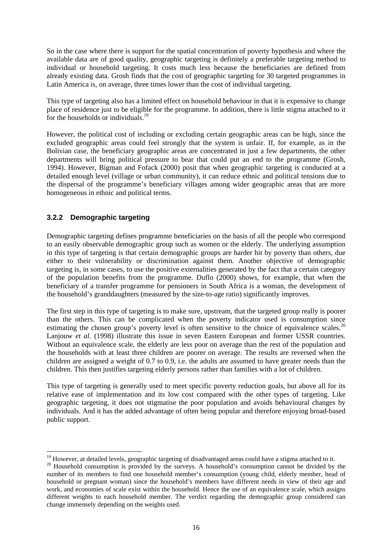So in the case where there is support for the spatial concentration of poverty hypothesis and where the available data are of good quality, geographic targeting is definitely a preferable targeting method to individual or household targeting. It costs much less because the beneficiaries are defined from already existing data. Grosh finds that the cost of geographic targeting for 30 targeted programmes in Latin America is, on average, three times lower than the cost of individual targeting.

This type of targeting also has a limited effect on household behaviour in that it is expensive to change place of residence just to be eligible for the programme. In addition, there is little stigma attached to it for the households or individuals.<sup>19</sup>

However, the political cost of including or excluding certain geographic areas can be high, since the excluded geographic areas could feel strongly that the system is unfair. If, for example, as in the Bolivian case, the beneficiary geographic areas are concentrated in just a few departments, the other departments will bring political pressure to bear that could put an end to the programme (Grosh, 1994). However, Bigman and Fofack (2000) posit that when geographic targeting is conducted at a detailed enough level (village or urban community), it can reduce ethnic and political tensions due to the dispersal of the programme's beneficiary villages among wider geographic areas that are more homogeneous in ethnic and political terms.

#### **3.2.2 Demographic targeting**

Demographic targeting defines programme beneficiaries on the basis of all the people who correspond to an easily observable demographic group such as women or the elderly. The underlying assumption in this type of targeting is that certain demographic groups are harder hit by poverty than others, due either to their vulnerability or discrimination against them. Another objective of demographic targeting is, in some cases, to use the positive externalities generated by the fact that a certain category of the population benefits from the programme. Duflo (2000) shows, for example, that when the beneficiary of a transfer programme for pensioners in South Africa is a woman, the development of the household's granddaughters (measured by the size-to-age ratio) significantly improves.

The first step in this type of targeting is to make sure, upstream, that the targeted group really is poorer than the others. This can be complicated when the poverty indicator used is consumption since estimating the chosen group's poverty level is often sensitive to the choice of equivalence scales.<sup>20</sup> Lanjouw *et al.* (1998) illustrate this issue in seven Eastern European and former USSR countries. Without an equivalence scale, the elderly are less poor on average than the rest of the population and the households with at least three children are poorer on average. The results are reversed when the children are assigned a weight of 0.7 to 0.9, i.e. the adults are assumed to have greater needs than the children. This then justifies targeting elderly persons rather than families with a lot of children.

This type of targeting is generally used to meet specific poverty reduction goals, but above all for its relative ease of implementation and its low cost compared with the other types of targeting. Like geographic targeting, it does not stigmatise the poor population and avoids behavioural changes by individuals. And it has the added advantage of often being popular and therefore enjoying broad-based public support.

<sup>&</sup>lt;sup>19</sup> However, at detailed levels, geographic targeting of disadvantaged areas could have a stigma attached to it.

<sup>&</sup>lt;sup>20</sup> Household consumption is provided by the surveys. A household's consumption cannot be divided by the number of its members to find one household member's consumption (young child, elderly member, head of household or pregnant woman) since the household's members have different needs in view of their age and work, and economies of scale exist within the household. Hence the use of an equivalence scale, which assigns different weights to each household member. The verdict regarding the demographic group considered can change immensely depending on the weights used.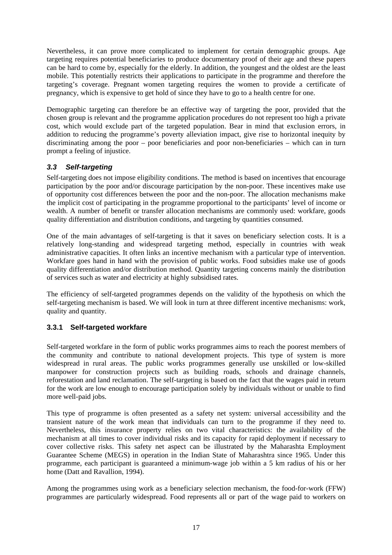Nevertheless, it can prove more complicated to implement for certain demographic groups. Age targeting requires potential beneficiaries to produce documentary proof of their age and these papers can be hard to come by, especially for the elderly. In addition, the youngest and the oldest are the least mobile. This potentially restricts their applications to participate in the programme and therefore the targeting's coverage. Pregnant women targeting requires the women to provide a certificate of pregnancy, which is expensive to get hold of since they have to go to a health centre for one.

Demographic targeting can therefore be an effective way of targeting the poor, provided that the chosen group is relevant and the programme application procedures do not represent too high a private cost, which would exclude part of the targeted population. Bear in mind that exclusion errors, in addition to reducing the programme's poverty alleviation impact, give rise to horizontal inequity by discriminating among the poor – poor beneficiaries and poor non-beneficiaries – which can in turn prompt a feeling of injustice.

#### *3.3 Self-targeting*

Self-targeting does not impose eligibility conditions. The method is based on incentives that encourage participation by the poor and/or discourage participation by the non-poor. These incentives make use of opportunity cost differences between the poor and the non-poor. The allocation mechanisms make the implicit cost of participating in the programme proportional to the participants' level of income or wealth. A number of benefit or transfer allocation mechanisms are commonly used: workfare, goods quality differentiation and distribution conditions, and targeting by quantities consumed.

One of the main advantages of self-targeting is that it saves on beneficiary selection costs. It is a relatively long-standing and widespread targeting method, especially in countries with weak administrative capacities. It often links an incentive mechanism with a particular type of intervention. Workfare goes hand in hand with the provision of public works. Food subsidies make use of goods quality differentiation and/or distribution method. Quantity targeting concerns mainly the distribution of services such as water and electricity at highly subsidised rates.

The efficiency of self-targeted programmes depends on the validity of the hypothesis on which the self-targeting mechanism is based. We will look in turn at three different incentive mechanisms: work, quality and quantity.

### **3.3.1 Self-targeted workfare**

Self-targeted workfare in the form of public works programmes aims to reach the poorest members of the community and contribute to national development projects. This type of system is more widespread in rural areas. The public works programmes generally use unskilled or low-skilled manpower for construction projects such as building roads, schools and drainage channels, reforestation and land reclamation. The self-targeting is based on the fact that the wages paid in return for the work are low enough to encourage participation solely by individuals without or unable to find more well-paid jobs.

This type of programme is often presented as a safety net system: universal accessibility and the transient nature of the work mean that individuals can turn to the programme if they need to. Nevertheless, this insurance property relies on two vital characteristics: the availability of the mechanism at all times to cover individual risks and its capacity for rapid deployment if necessary to cover collective risks. This safety net aspect can be illustrated by the Maharashta Employment Guarantee Scheme (MEGS) in operation in the Indian State of Maharashtra since 1965. Under this programme, each participant is guaranteed a minimum-wage job within a 5 km radius of his or her home (Datt and Ravallion, 1994).

Among the programmes using work as a beneficiary selection mechanism, the food-for-work (FFW) programmes are particularly widespread. Food represents all or part of the wage paid to workers on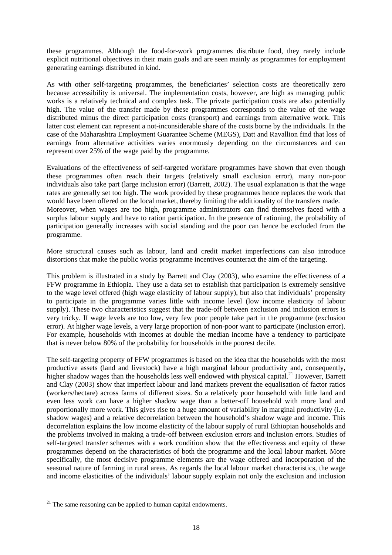these programmes. Although the food-for-work programmes distribute food, they rarely include explicit nutritional objectives in their main goals and are seen mainly as programmes for employment generating earnings distributed in kind.

As with other self-targeting programmes, the beneficiaries' selection costs are theoretically zero because accessibility is universal. The implementation costs, however, are high as managing public works is a relatively technical and complex task. The private participation costs are also potentially high. The value of the transfer made by these programmes corresponds to the value of the wage distributed minus the direct participation costs (transport) and earnings from alternative work. This latter cost element can represent a not-inconsiderable share of the costs borne by the individuals. In the case of the Maharashtra Employment Guarantee Scheme (MEGS), Datt and Ravallion find that loss of earnings from alternative activities varies enormously depending on the circumstances and can represent over 25% of the wage paid by the programme.

Evaluations of the effectiveness of self-targeted workfare programmes have shown that even though these programmes often reach their targets (relatively small exclusion error), many non-poor individuals also take part (large inclusion error) (Barrett, 2002). The usual explanation is that the wage rates are generally set too high. The work provided by these programmes hence replaces the work that would have been offered on the local market, thereby limiting the additionality of the transfers made. Moreover, when wages are too high, programme administrators can find themselves faced with a surplus labour supply and have to ration participation. In the presence of rationing, the probability of participation generally increases with social standing and the poor can hence be excluded from the programme.

More structural causes such as labour, land and credit market imperfections can also introduce distortions that make the public works programme incentives counteract the aim of the targeting.

This problem is illustrated in a study by Barrett and Clay (2003), who examine the effectiveness of a FFW programme in Ethiopia. They use a data set to establish that participation is extremely sensitive to the wage level offered (high wage elasticity of labour supply), but also that individuals' propensity to participate in the programme varies little with income level (low income elasticity of labour supply). These two characteristics suggest that the trade-off between exclusion and inclusion errors is very tricky. If wage levels are too low, very few poor people take part in the programme (exclusion error). At higher wage levels, a very large proportion of non-poor want to participate (inclusion error). For example, households with incomes at double the median income have a tendency to participate that is never below 80% of the probability for households in the poorest decile.

The self-targeting property of FFW programmes is based on the idea that the households with the most productive assets (land and livestock) have a high marginal labour productivity and, consequently, higher shadow wages than the households less well endowed with physical capital.<sup>21</sup> However, Barrett and Clay (2003) show that imperfect labour and land markets prevent the equalisation of factor ratios (workers/hectare) across farms of different sizes. So a relatively poor household with little land and even less work can have a higher shadow wage than a better-off household with more land and proportionally more work. This gives rise to a huge amount of variability in marginal productivity (i.e. shadow wages) and a relative decorrelation between the household's shadow wage and income. This decorrelation explains the low income elasticity of the labour supply of rural Ethiopian households and the problems involved in making a trade-off between exclusion errors and inclusion errors. Studies of self-targeted transfer schemes with a work condition show that the effectiveness and equity of these programmes depend on the characteristics of both the programme and the local labour market. More specifically, the most decisive programme elements are the wage offered and incorporation of the seasonal nature of farming in rural areas. As regards the local labour market characteristics, the wage and income elasticities of the individuals' labour supply explain not only the exclusion and inclusion

 $21$  The same reasoning can be applied to human capital endowments.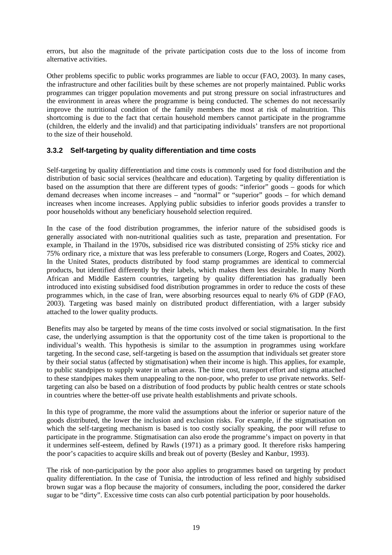errors, but also the magnitude of the private participation costs due to the loss of income from alternative activities.

Other problems specific to public works programmes are liable to occur (FAO, 2003). In many cases, the infrastructure and other facilities built by these schemes are not properly maintained. Public works programmes can trigger population movements and put strong pressure on social infrastructures and the environment in areas where the programme is being conducted. The schemes do not necessarily improve the nutritional condition of the family members the most at risk of malnutrition. This shortcoming is due to the fact that certain household members cannot participate in the programme (children, the elderly and the invalid) and that participating individuals' transfers are not proportional to the size of their household.

#### **3.3.2 Self-targeting by quality differentiation and time costs**

Self-targeting by quality differentiation and time costs is commonly used for food distribution and the distribution of basic social services (healthcare and education). Targeting by quality differentiation is based on the assumption that there are different types of goods: "inferior" goods – goods for which demand decreases when income increases – and "normal" or "superior" goods – for which demand increases when income increases. Applying public subsidies to inferior goods provides a transfer to poor households without any beneficiary household selection required.

In the case of the food distribution programmes, the inferior nature of the subsidised goods is generally associated with non-nutritional qualities such as taste, preparation and presentation. For example, in Thailand in the 1970s, subsidised rice was distributed consisting of 25% sticky rice and 75% ordinary rice, a mixture that was less preferable to consumers (Lorge, Rogers and Coates, 2002). In the United States, products distributed by food stamp programmes are identical to commercial products, but identified differently by their labels, which makes them less desirable. In many North African and Middle Eastern countries, targeting by quality differentiation has gradually been introduced into existing subsidised food distribution programmes in order to reduce the costs of these programmes which, in the case of Iran, were absorbing resources equal to nearly 6% of GDP (FAO, 2003). Targeting was based mainly on distributed product differentiation, with a larger subsidy attached to the lower quality products.

Benefits may also be targeted by means of the time costs involved or social stigmatisation. In the first case, the underlying assumption is that the opportunity cost of the time taken is proportional to the individual's wealth. This hypothesis is similar to the assumption in programmes using workfare targeting. In the second case, self-targeting is based on the assumption that individuals set greater store by their social status (affected by stigmatisation) when their income is high. This applies, for example, to public standpipes to supply water in urban areas. The time cost, transport effort and stigma attached to these standpipes makes them unappealing to the non-poor, who prefer to use private networks. Selftargeting can also be based on a distribution of food products by public health centres or state schools in countries where the better-off use private health establishments and private schools.

In this type of programme, the more valid the assumptions about the inferior or superior nature of the goods distributed, the lower the inclusion and exclusion risks. For example, if the stigmatisation on which the self-targeting mechanism is based is too costly socially speaking, the poor will refuse to participate in the programme. Stigmatisation can also erode the programme's impact on poverty in that it undermines self-esteem, defined by Rawls (1971) as a primary good. It therefore risks hampering the poor's capacities to acquire skills and break out of poverty (Besley and Kanbur, 1993).

The risk of non-participation by the poor also applies to programmes based on targeting by product quality differentiation. In the case of Tunisia, the introduction of less refined and highly subsidised brown sugar was a flop because the majority of consumers, including the poor, considered the darker sugar to be "dirty". Excessive time costs can also curb potential participation by poor households.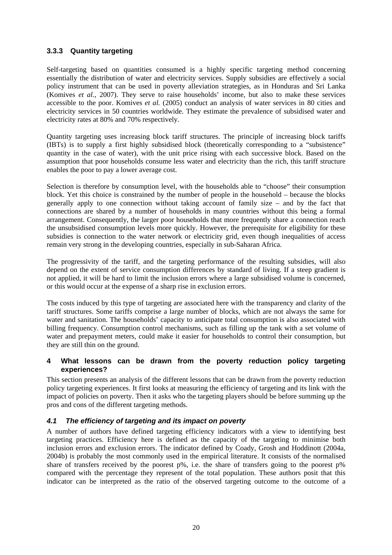#### **3.3.3 Quantity targeting**

Self-targeting based on quantities consumed is a highly specific targeting method concerning essentially the distribution of water and electricity services. Supply subsidies are effectively a social policy instrument that can be used in poverty alleviation strategies, as in Honduras and Sri Lanka (Komives *et al.*, 2007). They serve to raise households' income, but also to make these services accessible to the poor. Komives *et al.* (2005) conduct an analysis of water services in 80 cities and electricity services in 50 countries worldwide. They estimate the prevalence of subsidised water and electricity rates at 80% and 70% respectively.

Quantity targeting uses increasing block tariff structures. The principle of increasing block tariffs (IBTs) is to supply a first highly subsidised block (theoretically corresponding to a "subsistence" quantity in the case of water), with the unit price rising with each successive block. Based on the assumption that poor households consume less water and electricity than the rich, this tariff structure enables the poor to pay a lower average cost.

Selection is therefore by consumption level, with the households able to "choose" their consumption block. Yet this choice is constrained by the number of people in the household – because the blocks generally apply to one connection without taking account of family size – and by the fact that connections are shared by a number of households in many countries without this being a formal arrangement. Consequently, the larger poor households that more frequently share a connection reach the unsubsidised consumption levels more quickly. However, the prerequisite for eligibility for these subsidies is connection to the water network or electricity grid, even though inequalities of access remain very strong in the developing countries, especially in sub-Saharan Africa.

The progressivity of the tariff, and the targeting performance of the resulting subsidies, will also depend on the extent of service consumption differences by standard of living. If a steep gradient is not applied, it will be hard to limit the inclusion errors where a large subsidised volume is concerned, or this would occur at the expense of a sharp rise in exclusion errors.

The costs induced by this type of targeting are associated here with the transparency and clarity of the tariff structures. Some tariffs comprise a large number of blocks, which are not always the same for water and sanitation. The households' capacity to anticipate total consumption is also associated with billing frequency. Consumption control mechanisms, such as filling up the tank with a set volume of water and prepayment meters, could make it easier for households to control their consumption, but they are still thin on the ground.

#### **4 What lessons can be drawn from the poverty reduction policy targeting experiences?**

This section presents an analysis of the different lessons that can be drawn from the poverty reduction policy targeting experiences. It first looks at measuring the efficiency of targeting and its link with the impact of policies on poverty. Then it asks who the targeting players should be before summing up the pros and cons of the different targeting methods.

#### *4.1 The efficiency of targeting and its impact on poverty*

A number of authors have defined targeting efficiency indicators with a view to identifying best targeting practices. Efficiency here is defined as the capacity of the targeting to minimise both inclusion errors and exclusion errors. The indicator defined by Coady, Grosh and Hoddinott (2004a, 2004b) is probably the most commonly used in the empirical literature. It consists of the normalised share of transfers received by the poorest p%, i.e. the share of transfers going to the poorest p% compared with the percentage they represent of the total population. These authors posit that this indicator can be interpreted as the ratio of the observed targeting outcome to the outcome of a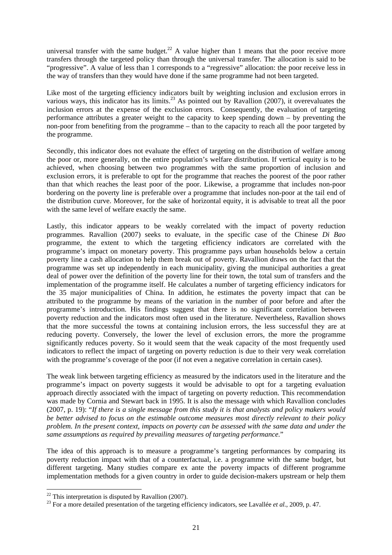universal transfer with the same budget.<sup>22</sup> A value higher than 1 means that the poor receive more transfers through the targeted policy than through the universal transfer. The allocation is said to be "progressive". A value of less than 1 corresponds to a "regressive" allocation: the poor receive less in the way of transfers than they would have done if the same programme had not been targeted.

Like most of the targeting efficiency indicators built by weighting inclusion and exclusion errors in various ways, this indicator has its limits.<sup>23</sup> As pointed out by Ravallion (2007), it overevaluates the inclusion errors at the expense of the exclusion errors. Consequently, the evaluation of targeting performance attributes a greater weight to the capacity to keep spending down – by preventing the non-poor from benefiting from the programme – than to the capacity to reach all the poor targeted by the programme.

Secondly, this indicator does not evaluate the effect of targeting on the distribution of welfare among the poor or, more generally, on the entire population's welfare distribution. If vertical equity is to be achieved, when choosing between two programmes with the same proportion of inclusion and exclusion errors, it is preferable to opt for the programme that reaches the poorest of the poor rather than that which reaches the least poor of the poor. Likewise, a programme that includes non-poor bordering on the poverty line is preferable over a programme that includes non-poor at the tail end of the distribution curve. Moreover, for the sake of horizontal equity, it is advisable to treat all the poor with the same level of welfare exactly the same.

Lastly, this indicator appears to be weakly correlated with the impact of poverty reduction programmes. Ravallion (2007) seeks to evaluate, in the specific case of the Chinese *Di Bao* programme, the extent to which the targeting efficiency indicators are correlated with the programme's impact on monetary poverty. This programme pays urban households below a certain poverty line a cash allocation to help them break out of poverty. Ravallion draws on the fact that the programme was set up independently in each municipality, giving the municipal authorities a great deal of power over the definition of the poverty line for their town, the total sum of transfers and the implementation of the programme itself. He calculates a number of targeting efficiency indicators for the 35 major municipalities of China. In addition, he estimates the poverty impact that can be attributed to the programme by means of the variation in the number of poor before and after the programme's introduction. His findings suggest that there is no significant correlation between poverty reduction and the indicators most often used in the literature. Nevertheless, Ravallion shows that the more successful the towns at containing inclusion errors, the less successful they are at reducing poverty. Conversely, the lower the level of exclusion errors, the more the programme significantly reduces poverty. So it would seem that the weak capacity of the most frequently used indicators to reflect the impact of targeting on poverty reduction is due to their very weak correlation with the programme's coverage of the poor (if not even a negative correlation in certain cases).

The weak link between targeting efficiency as measured by the indicators used in the literature and the programme's impact on poverty suggests it would be advisable to opt for a targeting evaluation approach directly associated with the impact of targeting on poverty reduction. This recommendation was made by Cornia and Stewart back in 1995. It is also the message with which Ravallion concludes (2007, p. 19): "*If there is a single message from this study it is that analysts and policy makers would be better advised to focus on the estimable outcome measures most directly relevant to their policy problem. In the present context, impacts on poverty can be assessed with the same data and under the same assumptions as required by prevailing measures of targeting performance.*"

The idea of this approach is to measure a programme's targeting performances by comparing its poverty reduction impact with that of a counterfactual, i.e. a programme with the same budget, but different targeting. Many studies compare ex ante the poverty impacts of different programme implementation methods for a given country in order to guide decision-makers upstream or help them

 $22$  This interpretation is disputed by Ravallion (2007).

<sup>&</sup>lt;sup>23</sup> For a more detailed presentation of the targeting efficiency indicators, see Lavallée *et al.*, 2009, p. 47.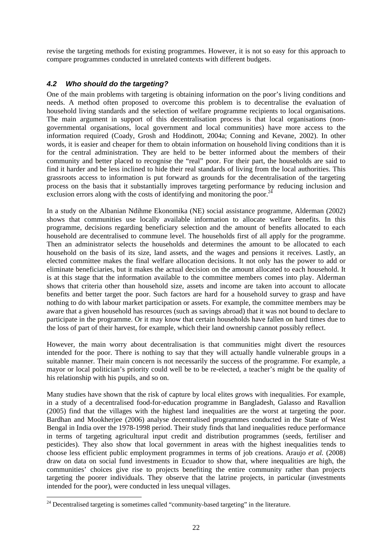revise the targeting methods for existing programmes. However, it is not so easy for this approach to compare programmes conducted in unrelated contexts with different budgets.

#### *4.2 Who should do the targeting?*

One of the main problems with targeting is obtaining information on the poor's living conditions and needs. A method often proposed to overcome this problem is to decentralise the evaluation of household living standards and the selection of welfare programme recipients to local organisations. The main argument in support of this decentralisation process is that local organisations (nongovernmental organisations, local government and local communities) have more access to the information required (Coady, Grosh and Hoddinott, 2004a; Conning and Kevane, 2002). In other words, it is easier and cheaper for them to obtain information on household living conditions than it is for the central administration. They are held to be better informed about the members of their community and better placed to recognise the "real" poor. For their part, the households are said to find it harder and be less inclined to hide their real standards of living from the local authorities. This grassroots access to information is put forward as grounds for the decentralisation of the targeting process on the basis that it substantially improves targeting performance by reducing inclusion and exclusion errors along with the costs of identifying and monitoring the poor.<sup>24</sup>

In a study on the Albanian Ndihme Ekonomika (NE) social assistance programme, Alderman (2002) shows that communities use locally available information to allocate welfare benefits. In this programme, decisions regarding beneficiary selection and the amount of benefits allocated to each household are decentralised to commune level. The households first of all apply for the programme. Then an administrator selects the households and determines the amount to be allocated to each household on the basis of its size, land assets, and the wages and pensions it receives. Lastly, an elected committee makes the final welfare allocation decisions. It not only has the power to add or eliminate beneficiaries, but it makes the actual decision on the amount allocated to each household. It is at this stage that the information available to the committee members comes into play. Alderman shows that criteria other than household size, assets and income are taken into account to allocate benefits and better target the poor. Such factors are hard for a household survey to grasp and have nothing to do with labour market participation or assets. For example, the committee members may be aware that a given household has resources (such as savings abroad) that it was not bound to declare to participate in the programme. Or it may know that certain households have fallen on hard times due to the loss of part of their harvest, for example, which their land ownership cannot possibly reflect.

However, the main worry about decentralisation is that communities might divert the resources intended for the poor. There is nothing to say that they will actually handle vulnerable groups in a suitable manner. Their main concern is not necessarily the success of the programme. For example, a mayor or local politician's priority could well be to be re-elected, a teacher's might be the quality of his relationship with his pupils, and so on.

Many studies have shown that the risk of capture by local elites grows with inequalities. For example, in a study of a decentralised food-for-education programme in Bangladesh, Galasso and Ravallion (2005) find that the villages with the highest land inequalities are the worst at targeting the poor. Bardhan and Mookherjee (2006) analyse decentralised programmes conducted in the State of West Bengal in India over the 1978-1998 period. Their study finds that land inequalities reduce performance in terms of targeting agricultural input credit and distribution programmes (seeds, fertiliser and pesticides). They also show that local government in areas with the highest inequalities tends to choose less efficient public employment programmes in terms of job creations. Araujo *et al.* (2008) draw on data on social fund investments in Ecuador to show that, where inequalities are high, the communities' choices give rise to projects benefiting the entire community rather than projects targeting the poorer individuals. They observe that the latrine projects, in particular (investments intended for the poor), were conducted in less unequal villages.

<sup>&</sup>lt;sup>24</sup> Decentralised targeting is sometimes called "community-based targeting" in the literature.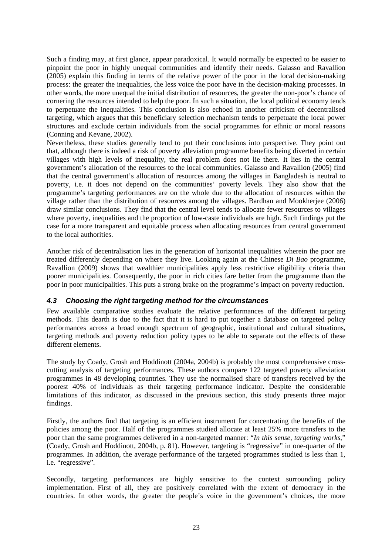Such a finding may, at first glance, appear paradoxical. It would normally be expected to be easier to pinpoint the poor in highly unequal communities and identify their needs. Galasso and Ravallion (2005) explain this finding in terms of the relative power of the poor in the local decision-making process: the greater the inequalities, the less voice the poor have in the decision-making processes. In other words, the more unequal the initial distribution of resources, the greater the non-poor's chance of cornering the resources intended to help the poor. In such a situation, the local political economy tends to perpetuate the inequalities. This conclusion is also echoed in another criticism of decentralised targeting, which argues that this beneficiary selection mechanism tends to perpetuate the local power structures and exclude certain individuals from the social programmes for ethnic or moral reasons (Conning and Kevane, 2002).

Nevertheless, these studies generally tend to put their conclusions into perspective. They point out that, although there is indeed a risk of poverty alleviation programme benefits being diverted in certain villages with high levels of inequality, the real problem does not lie there. It lies in the central government's allocation of the resources to the local communities. Galasso and Ravallion (2005) find that the central government's allocation of resources among the villages in Bangladesh is neutral to poverty, i.e. it does not depend on the communities' poverty levels. They also show that the programme's targeting performances are on the whole due to the allocation of resources within the village rather than the distribution of resources among the villages. Bardhan and Mookherjee (2006) draw similar conclusions. They find that the central level tends to allocate fewer resources to villages where poverty, inequalities and the proportion of low-caste individuals are high. Such findings put the case for a more transparent and equitable process when allocating resources from central government to the local authorities.

Another risk of decentralisation lies in the generation of horizontal inequalities wherein the poor are treated differently depending on where they live. Looking again at the Chinese *Di Bao* programme, Ravallion (2009) shows that wealthier municipalities apply less restrictive eligibility criteria than poorer municipalities. Consequently, the poor in rich cities fare better from the programme than the poor in poor municipalities. This puts a strong brake on the programme's impact on poverty reduction.

#### *4.3 Choosing the right targeting method for the circumstances*

Few available comparative studies evaluate the relative performances of the different targeting methods. This dearth is due to the fact that it is hard to put together a database on targeted policy performances across a broad enough spectrum of geographic, institutional and cultural situations, targeting methods and poverty reduction policy types to be able to separate out the effects of these different elements.

The study by Coady, Grosh and Hoddinott (2004a, 2004b) is probably the most comprehensive crosscutting analysis of targeting performances. These authors compare 122 targeted poverty alleviation programmes in 48 developing countries. They use the normalised share of transfers received by the poorest 40% of individuals as their targeting performance indicator. Despite the considerable limitations of this indicator, as discussed in the previous section, this study presents three major findings.

Firstly, the authors find that targeting is an efficient instrument for concentrating the benefits of the policies among the poor. Half of the programmes studied allocate at least 25% more transfers to the poor than the same programmes delivered in a non-targeted manner: "*In this sense, targeting works,*" (Coady, Grosh and Hoddinott, 2004b, p. 81). However, targeting is "regressive" in one-quarter of the programmes. In addition, the average performance of the targeted programmes studied is less than 1, i.e. "regressive".

Secondly, targeting performances are highly sensitive to the context surrounding policy implementation. First of all, they are positively correlated with the extent of democracy in the countries. In other words, the greater the people's voice in the government's choices, the more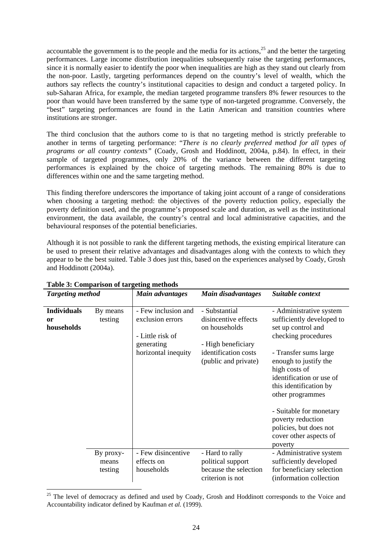accountable the government is to the people and the media for its actions,<sup>25</sup> and the better the targeting performances. Large income distribution inequalities subsequently raise the targeting performances, since it is normally easier to identify the poor when inequalities are high as they stand out clearly from the non-poor. Lastly, targeting performances depend on the country's level of wealth, which the authors say reflects the country's institutional capacities to design and conduct a targeted policy. In sub-Saharan Africa, for example, the median targeted programme transfers 8% fewer resources to the poor than would have been transferred by the same type of non-targeted programme. Conversely, the "best" targeting performances are found in the Latin American and transition countries where institutions are stronger.

The third conclusion that the authors come to is that no targeting method is strictly preferable to another in terms of targeting performance: "*There is no clearly preferred method for all types of programs or all country contexts"* (Coady, Grosh and Hoddinott, 2004a, p.84). In effect, in their sample of targeted programmes, only 20% of the variance between the different targeting performances is explained by the choice of targeting methods. The remaining 80% is due to differences within one and the same targeting method.

This finding therefore underscores the importance of taking joint account of a range of considerations when choosing a targeting method: the objectives of the poverty reduction policy, especially the poverty definition used, and the programme's proposed scale and duration, as well as the institutional environment, the data available, the country's central and local administrative capacities, and the behavioural responses of the potential beneficiaries.

Although it is not possible to rank the different targeting methods, the existing empirical literature can be used to present their relative advantages and disadvantages along with the contexts to which they appear to be the best suited. Table 3 does just this, based on the experiences analysed by Coady, Grosh and Hoddinott (2004a).

| <b>Targeting method</b>                |                               | <b>Main advantages</b>                                                                           | Main disadvantages                                                                                                           | Suitable context                                                                                                                                                                                                                                                                                                                                   |
|----------------------------------------|-------------------------------|--------------------------------------------------------------------------------------------------|------------------------------------------------------------------------------------------------------------------------------|----------------------------------------------------------------------------------------------------------------------------------------------------------------------------------------------------------------------------------------------------------------------------------------------------------------------------------------------------|
| <b>Individuals</b><br>or<br>households | By means<br>testing           | - Few inclusion and<br>exclusion errors<br>- Little risk of<br>generating<br>horizontal inequity | - Substantial<br>disincentive effects<br>on households<br>- High beneficiary<br>identification costs<br>(public and private) | - Administrative system<br>sufficiently developed to<br>set up control and<br>checking procedures<br>- Transfer sums large<br>enough to justify the<br>high costs of<br>identification or use of<br>this identification by<br>other programmes<br>- Suitable for monetary<br>poverty reduction<br>policies, but does not<br>cover other aspects of |
|                                        |                               |                                                                                                  |                                                                                                                              | poverty                                                                                                                                                                                                                                                                                                                                            |
|                                        | By proxy-<br>means<br>testing | - Few disincentive<br>effects on<br>households                                                   | - Hard to rally<br>political support<br>because the selection<br>criterion is not                                            | - Administrative system<br>sufficiently developed<br>for beneficiary selection<br>(information collection                                                                                                                                                                                                                                          |

#### **Table 3: Comparison of targeting methods**

<sup>&</sup>lt;sup>25</sup> The level of democracy as defined and used by Coady, Grosh and Hoddinott corresponds to the Voice and Accountability indicator defined by Kaufman *et al.* (1999).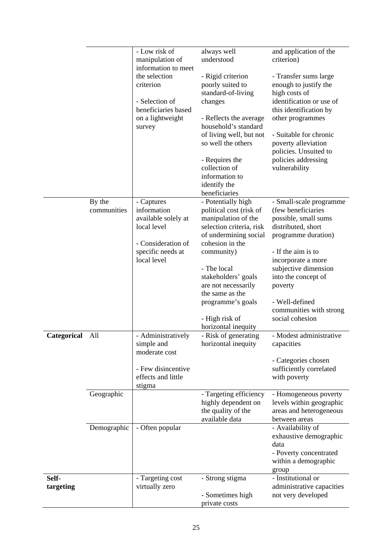|             |             | - Low risk of                    | always well                                 | and application of the                              |
|-------------|-------------|----------------------------------|---------------------------------------------|-----------------------------------------------------|
|             |             | manipulation of                  | understood                                  | criterion)                                          |
|             |             | information to meet              |                                             |                                                     |
|             |             | the selection                    | - Rigid criterion                           | - Transfer sums large                               |
|             |             | criterion                        | poorly suited to                            | enough to justify the                               |
|             |             | - Selection of                   | standard-of-living<br>changes               | high costs of<br>identification or use of           |
|             |             | beneficiaries based              |                                             | this identification by                              |
|             |             | on a lightweight                 | - Reflects the average                      | other programmes                                    |
|             |             | survey                           | household's standard                        |                                                     |
|             |             |                                  | of living well, but not                     | - Suitable for chronic                              |
|             |             |                                  | so well the others                          | poverty alleviation                                 |
|             |             |                                  |                                             | policies. Unsuited to                               |
|             |             |                                  | - Requires the                              | policies addressing                                 |
|             |             |                                  | collection of                               | vulnerability                                       |
|             |             |                                  | information to<br>identify the              |                                                     |
|             |             |                                  | beneficiaries                               |                                                     |
|             | By the      | - Captures                       | - Potentially high                          | - Small-scale programme                             |
|             | communities | information                      | political cost (risk of                     | (few beneficiaries                                  |
|             |             | available solely at              | manipulation of the                         | possible, small sums                                |
|             |             | local level                      | selection criteria, risk                    | distributed, short                                  |
|             |             |                                  | of undermining social                       | programme duration)                                 |
|             |             | - Consideration of               | cohesion in the                             |                                                     |
|             |             | specific needs at<br>local level | community)                                  | - If the aim is to                                  |
|             |             |                                  | - The local                                 | incorporate a more<br>subjective dimension          |
|             |             |                                  | stakeholders' goals                         | into the concept of                                 |
|             |             |                                  | are not necessarily                         | poverty                                             |
|             |             |                                  | the same as the                             |                                                     |
|             |             |                                  | programme's goals                           | - Well-defined                                      |
|             |             |                                  |                                             | communities with strong                             |
|             |             |                                  | - High risk of                              | social cohesion                                     |
| Categorical | All         | - Administratively               | horizontal inequity<br>- Risk of generating | - Modest administrative                             |
|             |             | simple and                       | horizontal inequity                         | capacities                                          |
|             |             | moderate cost                    |                                             |                                                     |
|             |             |                                  |                                             | - Categories chosen                                 |
|             |             | - Few disincentive               |                                             | sufficiently correlated                             |
|             |             | effects and little               |                                             | with poverty                                        |
|             |             | stigma                           |                                             |                                                     |
|             | Geographic  |                                  | - Targeting efficiency                      | - Homogeneous poverty                               |
|             |             |                                  | highly dependent on<br>the quality of the   | levels within geographic<br>areas and heterogeneous |
|             |             |                                  | available data                              | between areas                                       |
|             | Demographic | - Often popular                  |                                             | - Availability of                                   |
|             |             |                                  |                                             | exhaustive demographic                              |
|             |             |                                  |                                             | data                                                |
|             |             |                                  |                                             | - Poverty concentrated                              |
|             |             |                                  |                                             | within a demographic                                |
|             |             |                                  |                                             | group                                               |
| Self-       |             | - Targeting cost                 | - Strong stigma                             | - Institutional or                                  |
| targeting   |             | virtually zero                   | - Sometimes high                            | administrative capacities<br>not very developed     |
|             |             |                                  | private costs                               |                                                     |
|             |             |                                  |                                             |                                                     |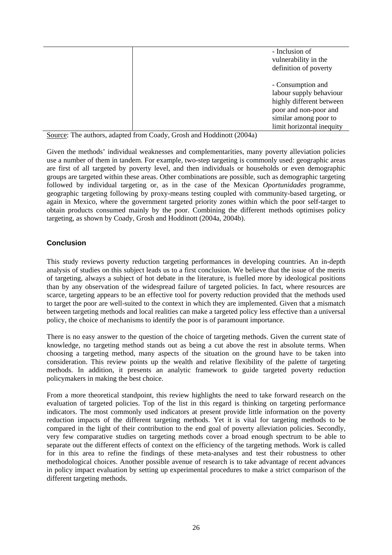| - Inclusion of<br>vulnerability in the<br>definition of poverty                                                                                         |
|---------------------------------------------------------------------------------------------------------------------------------------------------------|
| - Consumption and<br>labour supply behaviour<br>highly different between<br>poor and non-poor and<br>similar among poor to<br>limit horizontal inequity |

Source: The authors, adapted from Coady, Grosh and Hoddinott (2004a)

Given the methods' individual weaknesses and complementarities, many poverty alleviation policies use a number of them in tandem. For example, two-step targeting is commonly used: geographic areas are first of all targeted by poverty level, and then individuals or households or even demographic groups are targeted within these areas. Other combinations are possible, such as demographic targeting followed by individual targeting or, as in the case of the Mexican *Oportunidades* programme, geographic targeting following by proxy-means testing coupled with community-based targeting, or again in Mexico, where the government targeted priority zones within which the poor self-target to obtain products consumed mainly by the poor. Combining the different methods optimises policy targeting, as shown by Coady, Grosh and Hoddinott (2004a, 2004b).

#### **Conclusion**

This study reviews poverty reduction targeting performances in developing countries. An in-depth analysis of studies on this subject leads us to a first conclusion. We believe that the issue of the merits of targeting, always a subject of hot debate in the literature, is fuelled more by ideological positions than by any observation of the widespread failure of targeted policies. In fact, where resources are scarce, targeting appears to be an effective tool for poverty reduction provided that the methods used to target the poor are well-suited to the context in which they are implemented. Given that a mismatch between targeting methods and local realities can make a targeted policy less effective than a universal policy, the choice of mechanisms to identify the poor is of paramount importance.

There is no easy answer to the question of the choice of targeting methods. Given the current state of knowledge, no targeting method stands out as being a cut above the rest in absolute terms. When choosing a targeting method, many aspects of the situation on the ground have to be taken into consideration. This review points up the wealth and relative flexibility of the palette of targeting methods. In addition, it presents an analytic framework to guide targeted poverty reduction policymakers in making the best choice.

From a more theoretical standpoint, this review highlights the need to take forward research on the evaluation of targeted policies. Top of the list in this regard is thinking on targeting performance indicators. The most commonly used indicators at present provide little information on the poverty reduction impacts of the different targeting methods. Yet it is vital for targeting methods to be compared in the light of their contribution to the end goal of poverty alleviation policies. Secondly, very few comparative studies on targeting methods cover a broad enough spectrum to be able to separate out the different effects of context on the efficiency of the targeting methods. Work is called for in this area to refine the findings of these meta-analyses and test their robustness to other methodological choices. Another possible avenue of research is to take advantage of recent advances in policy impact evaluation by setting up experimental procedures to make a strict comparison of the different targeting methods.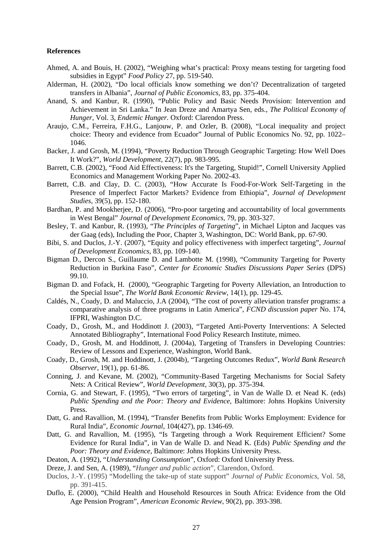#### **References**

- Ahmed, A. and Bouis, H. (2002), "Weighing what's practical: Proxy means testing for targeting food subsidies in Egypt" *Food Policy* 27, pp. 519-540.
- Alderman, H. (2002), "Do local officials know something we don't? Decentralization of targeted transfers in Albania", *Journal of Public Economics*, 83, pp. 375-404.
- Anand, S. and Kanbur, R. (1990), "Public Policy and Basic Needs Provision: Intervention and Achievement in Sri Lanka." In Jean Dreze and Amartya Sen, eds., *The Political Economy of Hunger,* Vol. 3, *Endemic Hunger.* Oxford: Clarendon Press.
- Araujo, C.M., Ferreira, F.H.G., Lanjouw, P. and Ozler, B. (2008), "Local inequality and project choice: Theory and evidence from Ecuador" Journal of Public Economics No. 92, pp. 1022– 1046.
- Backer, J. and Grosh, M. (1994), "Poverty Reduction Through Geographic Targeting: How Well Does It Work?", *World Development*, 22(7), pp. 983-995.
- Barrett, C.B. (2002), "Food Aid Effectiveness: It's the Targeting, Stupid!", Cornell University Applied Economics and Management Working Paper No. 2002-43.
- Barrett, C.B. and Clay, D. C. (2003), "How Accurate Is Food-For-Work Self-Targeting in the Presence of Imperfect Factor Markets? Evidence from Ethiopia", *Journal of Development Studies*, 39(5), pp. 152-180.
- Bardhan, P. and Mookherjee, D. (2006), "Pro-poor targeting and accountability of local governments in West Bengal" *Journal of Development Economics*, 79, pp. 303-327.
- Besley, T. and Kanbur, R. (1993), "*The Principles of Targeting*", in Michael Lipton and Jacques vas der Gaag (eds), Including the Poor, Chapter 3, Washington, DC: World Bank, pp. 67-90.
- Bibi, S. and Duclos, J.-Y. (2007), "Equity and policy effectiveness with imperfect targeting", *Journal of Development Economics*, 83, pp. 109-140.
- Bigman D., Dercon S., Guillaume D. and Lambotte M. (1998), "Community Targeting for Poverty Reduction in Burkina Faso", *Center for Economic Studies Discussions Paper Series* (DPS) 99.10.
- Bigman D. and Fofack, H. (2000), "Geographic Targeting for Poverty Alleviation, an Introduction to the Special Issue", *The World Bank Economic Review*, 14(1), pp. 129-45.
- Caldés, N., Coady, D. and Maluccio, J.A (2004), "The cost of poverty alleviation transfer programs: a comparative analysis of three programs in Latin America", *FCND discussion paper* No. 174, IFPRI, Washington D.C.
- Coady, D., Grosh, M., and Hoddinott J. (2003), "Targeted Anti-Poverty Interventions: A Selected Annotated Bibliography", International Food Policy Research Institute, mimeo.
- Coady, D., Grosh, M. and Hoddinott, J. (2004a), Targeting of Transfers in Developing Countries: Review of Lessons and Experience, Washington, World Bank.
- Coady, D., Grosh, M. and Hoddinott, J. (2004b), "Targeting Outcomes Redux", *World Bank Research Observer*, 19(1), pp. 61-86.
- Conning, J. and Kevane, M. (2002), "Community-Based Targeting Mechanisms for Social Safety Nets: A Critical Review", *World Development*, 30(3), pp. 375-394.
- Cornia, G. and Stewart, F. (1995), "Two errors of targeting", in Van de Walle D. et Nead K. (eds) *Public Spending and the Poor: Theory and Evidence*, Baltimore: Johns Hopkins University Press.
- Datt, G. and Ravallion, M. (1994), "Transfer Benefits from Public Works Employment: Evidence for Rural India", *Economic Journal*, 104(427), pp. 1346-69.
- Datt, G. and Ravallion, M. (1995), "Is Targeting through a Work Requirement Efficient? Some Evidence for Rural India", in Van de Walle D. and Nead K. (Eds) *Public Spending and the Poor: Theory and Evidence*, Baltimore: Johns Hopkins University Press.
- Deaton, A. (1992), "*Understanding Consumption*", Oxford: Oxford University Press.
- Dreze, J. and Sen, A. (1989), "*Hunger and public action*", Clarendon, Oxford.
- Duclos, J.-Y. (1995) "Modelling the take-up of state support" *Journal of Public Economics*, Vol. 58, pp. 391-415.
- Duflo, E. (2000), "Child Health and Household Resources in South Africa: Evidence from the Old Age Pension Program", *American Economic Review*, 90(2), pp. 393-398.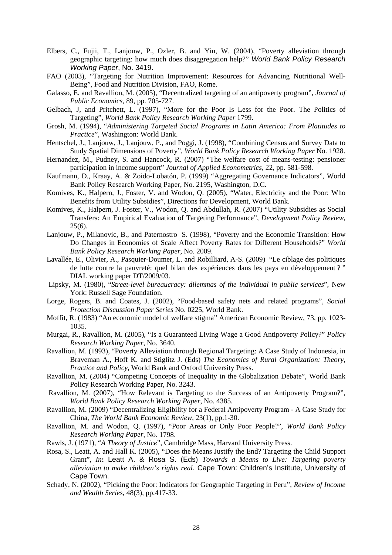- Elbers, C., Fujii, T., Lanjouw, P., Ozler, B. and Yin, W. (2004), "Poverty alleviation through geographic targeting: how much does disaggregation help?" *World Bank Policy Research Working Paper*, No. 3419.
- FAO (2003), "Targeting for Nutrition Improvement: Resources for Advancing Nutritional Well-Being", Food and Nutrition Division, FAO, Rome.
- Galasso, E. and Ravallion, M. (2005), "Decentralized targeting of an antipoverty program", *Journal of Public Economics*, 89, pp. 705-727.
- Gelbach, J, and Pritchett, L. (1997), "More for the Poor Is Less for the Poor. The Politics of Targeting", *World Bank Policy Research Working Paper* 1799.
- Grosh, M. (1994), "*Administering Targeted Social Programs in Latin America: From Platitudes to Practice*", Washington: World Bank.
- Hentschel, J., Lanjouw, J., Lanjouw, P., and Poggi, J. (1998), "Combining Census and Survey Data to Study Spatial Dimensions of Poverty", *World Bank Policy Research Working Paper* No. 1928.
- Hernandez, M., Pudney, S. and Hancock, R. (2007) "The welfare cost of means-testing: pensioner participation in income support" *Journal of Applied Econometrics*, 22, pp. 581-598.
- Kaufmann, D., Kraay, A. & Zoido-Lobatón, P. (1999) "Aggregating Governance Indicators", World Bank Policy Research Working Paper, No. 2195, Washington, D.C.
- Komives, K., Halpern, J., Foster, V. and Wodon, Q. (2005), "Water, Electricity and the Poor: Who Benefits from Utility Subsidies", Directions for Development, World Bank.
- Komives, K., Halpern, J. Foster, V., Wodon, Q. and Abdullah, R. (2007) "Utility Subsidies as Social Transfers: An Empirical Evaluation of Targeting Performance", *Development Policy Review*,  $25(6)$ .
- Lanjouw, P., Milanovic, B., and Paternostro S. (1998), "Poverty and the Economic Transition: How Do Changes in Economies of Scale Affect Poverty Rates for Different Households?" *World Bank Policy Research Working Paper*, No. 2009.
- Lavallée, E., Olivier, A., Pasquier-Doumer, L. and Robilliard, A-S. (2009) "Le ciblage des politiques de lutte contre la pauvreté: quel bilan des expériences dans les pays en développement ? " DIAL working paper DT/2009/03.
- Lipsky, M. (1980), "*Street-level bureaucracy: dilemmas of the individual in public services*", New York: Russell Sage Foundation.
- Lorge, Rogers, B. and Coates, J. (2002), "Food-based safety nets and related programs", *Social Protection Discussion Paper Series* No. 0225, World Bank.
- Moffit, R. (1983) "An economic model of welfare stigma" American Economic Review, 73, pp. 1023- 1035.
- Murgai, R., Ravallion, M. (2005), "Is a Guaranteed Living Wage a Good Antipoverty Policy?" *Policy Research Working Paper*, No. 3640.
- Ravallion, M. (1993), "Poverty Alleviation through Regional Targeting: A Case Study of Indonesia, in Braveman A., Hoff K. and Stiglitz J. (Eds) *The Economics of Rural Organization: Theory, Practice and Policy*, World Bank and Oxford University Press.
- Ravallion, M. (2004) "Competing Concepts of Inequality in the Globalization Debate", World Bank Policy Research Working Paper, No. 3243.
- Ravallion, M. (2007), "How Relevant is Targeting to the Success of an Antipoverty Program?", *World Bank Policy Research Working Paper*, No. 4385.
- Ravallion, M. (2009) "Decentralizing Eligibility for a Federal Antipoverty Program A Case Study for China, *The World Bank Economic Review*, 23(1), pp.1-30.
- Ravallion, M. and Wodon, Q. (1997), "Poor Areas or Only Poor People?", *World Bank Policy Research Working Paper*, No. 1798.
- Rawls, J. (1971), "*A Theory of Justice*", Cambridge Mass, Harvard University Press.
- Rosa, S., Leatt, A. and Hall K. (2005), "Does the Means Justify the End? Targeting the Child Support Grant", *In***:** Leatt A. & Rosa S. (Eds) *Towards a Means to Live: Targeting poverty alleviation to make children's rights real*. Cape Town: Children's Institute, University of Cape Town.
- Schady, N. (2002), "Picking the Poor: Indicators for Geographic Targeting in Peru", *Review of Income and Wealth Series*, 48(3), pp.417-33.